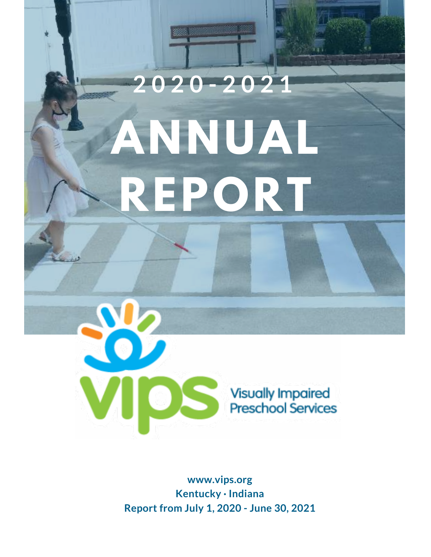# **ANNUAL REPORT 2 0 2 0 - 2 0 2 1**



**www.vips.org Kentucky · Indiana Report from July 1, 2020 - June 30, 2021**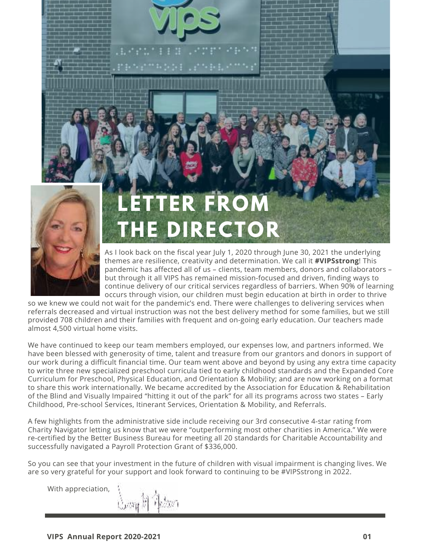

# **LERTTEROM** DIRECTO

As I look back on the fiscal year July 1, 2020 through June 30, 2021 the underlying themes are resilience, creativity and determination. We call it **#VIPSstrong**! This pandemic has affected all of us – clients, team members, donors and collaborators – but through it all VIPS has remained mission-focused and driven, finding ways to continue delivery of our critical services regardless of barriers. When 90% of learning occurs through vision, our children must begin education at birth in order to thrive

so we knew we could not wait for the pandemic's end. There were challenges to delivering services when referrals decreased and virtual instruction was not the best delivery method for some families, but we still provided 708 children and their families with frequent and on-going early education. Our teachers made almost 4,500 virtual home visits.

We have continued to keep our team members employed, our expenses low, and partners informed. We have been blessed with generosity of time, talent and treasure from our grantors and donors in support of our work during a difficult financial time. Our team went above and beyond by using any extra time capacity to write three new specialized preschool curricula tied to early childhood standards and the Expanded Core Curriculum for Preschool, Physical Education, and Orientation & Mobility; and are now working on a format to share this work internationally. We became accredited by the Association for Education & Rehabilitation of the Blind and Visually Impaired "hitting it out of the park" for all its programs across two states – Early Childhood, Pre-school Services, Itinerant Services, Orientation & Mobility, and Referrals.

A few highlights from the administrative side include receiving our 3rd consecutive 4-star rating from Charity Navigator letting us know that we were "outperforming most other charities in America." We were re-certified by the Better Business Bureau for meeting all 20 standards for Charitable Accountability and successfully navigated a Payroll Protection Grant of \$336,000.

So you can see that your investment in the future of children with visual impairment is changing lives. We are so very grateful for your support and look forward to continuing to be #VIPSstrong in 2022.

With appreciation,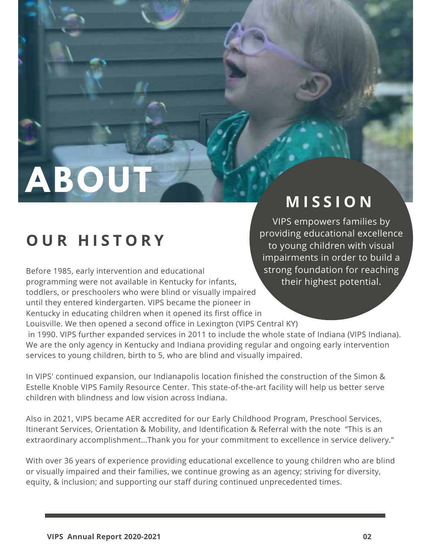**ABOL** 

## **M I S S I O N**

# **O U R H I S T O R Y**

Before 1985, early intervention and educational programming were not available in Kentucky for infants, toddlers, or preschoolers who were blind or visually impaired until they entered kindergarten. VIPS became the pioneer in Kentucky in educating children when it opened its first office in Louisville. We then opened a second office in Lexington (VIPS Central KY)

VIPS empowers families by providing educational excellence to young children with visual impairments in order to build a strong foundation for reaching their highest potential.

 in 1990. VIPS further expanded services in 2011 to include the whole state of Indiana (VIPS Indiana). We are the only agency in Kentucky and Indiana providing regular and ongoing early intervention services to young children, birth to 5, who are blind and visually impaired.

In VIPS' continued expansion, our Indianapolis location finished the construction of the Simon & Estelle Knoble VIPS Family Resource Center. This state-of-the-art facility will help us better serve children with blindness and low vision across Indiana.

Also in 2021, VIPS became AER accredited for our Early Childhood Program, Preschool Services, Itinerant Services, Orientation & Mobility, and Identification & Referral with the note "This is an extraordinary accomplishment...Thank you for your commitment to excellence in service delivery."

With over 36 years of experience providing educational excellence to young children who are blind or visually impaired and their families, we continue growing as an agency; striving for diversity, equity, & inclusion; and supporting our staff during continued unprecedented times.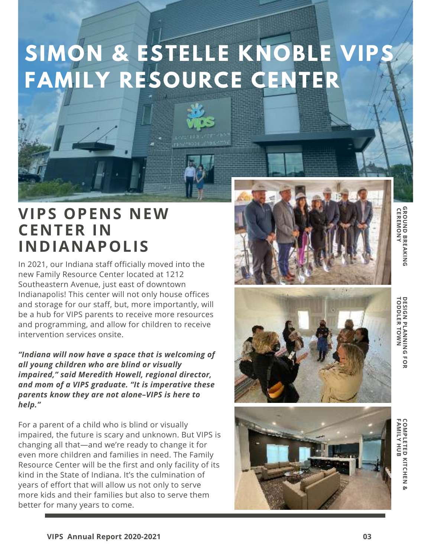# **SIMON & ESTELLE KNOBLE VIPS FAMILY RESOURCE CENTER**



### **VIPS OPENS NEW CENTER IN INDIANAPOLIS**

In 2021, our Indiana staff officially moved into the new Family Resource Center located at 1212 Southeastern Avenue, just east of downtown Indianapolis! This center will not only house offices and storage for our staff, but, more importantly, will be a hub for VIPS parents to receive more resources and programming, and allow for children to receive intervention services onsite.

*"Indiana will now have a space that is welcoming of all young children who are blind or visually impaired," said Meredith Howell, regional director, and mom of a VIPS graduate. "It is imperative these parents know they are not alone–VIPS is here to help."*

For a parent of a child who is blind or visually impaired, the future is scary and unknown. But VIPS is changing all that—and we're ready to change it for even more children and families in need. The Family Resource Center will be the first and only facility of its kind in the State of Indiana. It's the culmination of years of effort that will allow us not only to serve more kids and their families but also to serve them better for many years to come.







**GROUND BREAKING**<br>CEREMONY  **CEREMONY GROUND BREAKING**

DESIGN PLANNING FOR<br>TODDLER TOWN **TODDLER TOWN DESIGN PLANNING FOR**

**FAMILY HUB COMPLETED KITCHEN &SMILETED KITCHEN**<br>CMILY HUB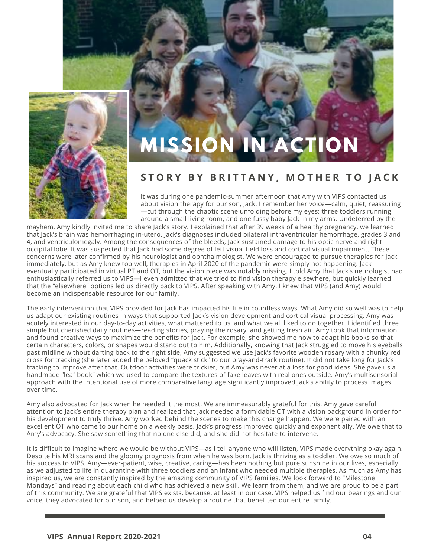



#### **S T O R Y B Y B R I T T A N Y , M O T H E R T O J A C K**

It was during one pandemic-summer afternoon that Amy with VIPS contacted us about vision therapy for our son, Jack. I remember her voice—calm, quiet, reassuring —cut through the chaotic scene unfolding before my eyes: three toddlers running around a small living room, and one fussy baby Jack in my arms. Undeterred by the

mayhem, Amy kindly invited me to share Jack's story. I explained that after 39 weeks of a healthy pregnancy, we learned that Jack's brain was hemorrhaging in-utero. Jack's diagnoses included bilateral intraventricular hemorrhage, grades 3 and 4, and ventriculomegaly. Among the consequences of the bleeds, Jack sustained damage to his optic nerve and right occipital lobe. It was suspected that Jack had some degree of left visual field loss and cortical visual impairment. These concerns were later confirmed by his neurologist and ophthalmologist. We were encouraged to pursue therapies for Jack immediately, but as Amy knew too well, therapies in April 2020 of the pandemic were simply not happening. Jack eventually participated in virtual PT and OT, but the vision piece was notably missing. I told Amy that Jack's neurologist had enthusiastically referred us to VIPS—I even admitted that we tried to find vision therapy elsewhere, but quickly learned that the "elsewhere" options led us directly back to VIPS. After speaking with Amy, I knew that VIPS (and Amy) would become an indispensable resource for our family.

The early intervention that VIPS provided for Jack has impacted his life in countless ways. What Amy did so well was to help us adapt our existing routines in ways that supported Jack's vision development and cortical visual processing. Amy was acutely interested in our day-to-day activities, what mattered to us, and what we all liked to do together. I identified three simple but cherished daily routines—reading stories, praying the rosary, and getting fresh air. Amy took that information and found creative ways to maximize the benefits for Jack. For example, she showed me how to adapt his books so that certain characters, colors, or shapes would stand out to him. Additionally, knowing that Jack struggled to move his eyeballs past midline without darting back to the right side, Amy suggested we use Jack's favorite wooden rosary with a chunky red cross for tracking (she later added the beloved "quack stick" to our pray-and-track routine). It did not take long for Jack's tracking to improve after that. Outdoor activities were trickier, but Amy was never at a loss for good ideas. She gave us a handmade "leaf book" which we used to compare the textures of fake leaves with real ones outside. Amy's multisensorial approach with the intentional use of more comparative language significantly improved Jack's ability to process images over time.

Amy also advocated for Jack when he needed it the most. We are immeasurably grateful for this. Amy gave careful attention to Jack's entire therapy plan and realized that Jack needed a formidable OT with a vision background in order for his development to truly thrive. Amy worked behind the scenes to make this change happen. We were paired with an excellent OT who came to our home on a weekly basis. Jack's progress improved quickly and exponentially. We owe that to Amy's advocacy. She saw something that no one else did, and she did not hesitate to intervene.

It is difficult to imagine where we would be without VIPS—as I tell anyone who will listen, VIPS made everything okay again. Despite his MRI scans and the gloomy prognosis from when he was born, Jack is thriving as a toddler. We owe so much of his success to VIPS. Amy—ever-patient, wise, creative, caring—has been nothing but pure sunshine in our lives, especially as we adjusted to life in quarantine with three toddlers and an infant who needed multiple therapies. As much as Amy has inspired us, we are constantly inspired by the amazing community of VIPS families. We look forward to "Milestone Mondays" and reading about each child who has achieved a new skill. We learn from them, and we are proud to be a part of this community. We are grateful that VIPS exists, because, at least in our case, VIPS helped us find our bearings and our voice, they advocated for our son, and helped us develop a routine that benefited our entire family.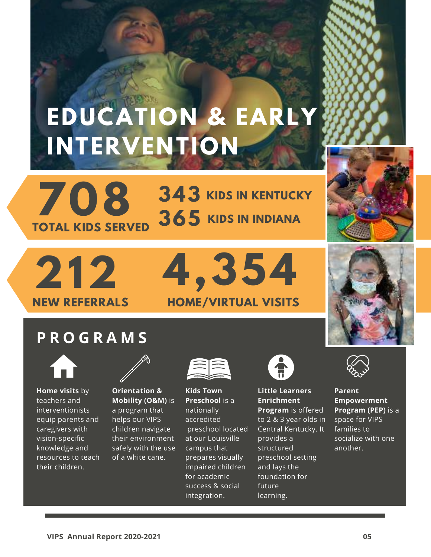# **EDUCATION & EARLY INTERVENTION**

**708 TOTAL KIDS SERVED**  $343$  KIDS IN KENTUCKY  $365$  Kids in Indiana



# **212 NEW REFERRALS**

# **4,354 HOME/VIRTUAL VISITS**

### **P R O G R A M S**



**Home visits** by teachers and interventionists equip parents and caregivers with vision-specific knowledge and resources to teach their children.



**Orientation & Mobility (O&M)** is a program that helps our VIPS children navigate their environment safely with the use of a white cane.



**Kids Town Preschool** is a nationally accredited preschool located at our Louisville campus that prepares visually impaired children for academic success & social integration.



#### **Little Learners Enrichment Program** is offered to 2 & 3 year olds in

Central Kentucky. It provides a structured preschool setting and lays the foundation for future learning.



**Parent Empowerment Program (PEP)** is a space for VIPS families to socialize with one another.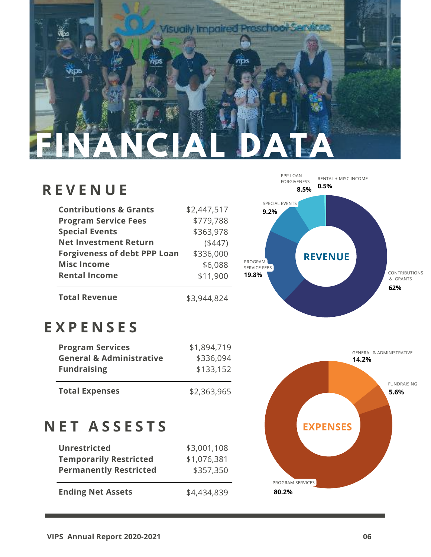

### **R E V E N U E**

| <b>Contributions &amp; Grants</b>   | \$2,447,517 |
|-------------------------------------|-------------|
| <b>Program Service Fees</b>         | \$779,788   |
| <b>Special Events</b>               | \$363,978   |
| <b>Net Investment Return</b>        | (447)       |
| <b>Forgiveness of debt PPP Loan</b> | \$336,000   |
| <b>Misc Income</b>                  | \$6,088     |
| <b>Rental Income</b>                | \$11,900    |
|                                     |             |

\$3,944,824

#### **62% 19.8% 9.2% 8.5% 0.5%** PROGRAM SERVICE FEES SPECIAL EVENTS PPP LOAN RENTAL + MISC INCOME **REVENUE** CONTRIBUTIONS & GRANTS

### **E X P E N S E S**

**Total Revenue** 

| <b>Program Services</b>             | \$1,894,719 |
|-------------------------------------|-------------|
| <b>General &amp; Administrative</b> | \$336,094   |
| <b>Fundraising</b>                  | \$133,152   |
|                                     |             |
| <b>Total Expenses</b>               | \$2,363,965 |

### **N E T A S S E S T S**

| <b>Unrestricted</b>           | \$3,001,108 |
|-------------------------------|-------------|
| <b>Temporarily Restricted</b> | \$1,076,381 |
| <b>Permanently Restricted</b> | \$357,350   |
|                               |             |
| <b>Ending Net Assets</b>      | \$4,434,839 |